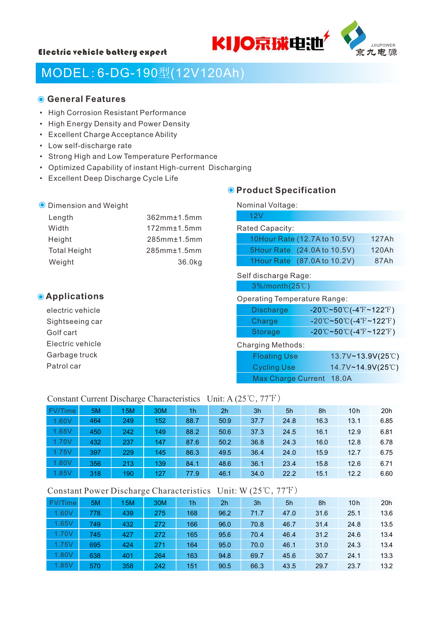



## MODEL:6-DG-190型(12V120Ah)

#### **General Features**

- High Corrosion Resistant Performance
- High Energy Density and Power Density
- Excellent Charge Acceptance Ability
- Low self-discharge rate

Dimension and Weight

- Strong High and Low Temperature Performance
- Optimized Capability of instant High-current Discharging
- Excellent Deep Discharge Cycle Life

### Nominal Voltage:

| Length              | $362$ mm $±1.5$ mm | 12V                          |       |
|---------------------|--------------------|------------------------------|-------|
| Width               | $172mm \pm 1.5mm$  | Rated Capacity:              |       |
| Height              | $285$ mm $±1.5$ mm | 10Hour Rate (12.7A to 10.5V) | 127Ah |
| <b>Total Height</b> | $285mm \pm 1.5mm$  | 5Hour Rate (24.0A to 10.5V)  | 120Ah |
| Weight              | 36.0kg             | 1Hour Rate (87.0A to 10.2V)  | 87Ah  |
|                     |                    | Self discharge Rage:         |       |

### **Applications**

electric vehicle Sightseeing car Golf cart Electric vehicle Garbage truck Patrol car

### 3%/month(25℃)

**O** Product Specification

#### Operating Temperature Range:

| Discharge      | $-20^{\circ}$ C~50 $^{\circ}$ C(-4 $^{\circ}$ F~122 $^{\circ}$ F) |
|----------------|-------------------------------------------------------------------|
| Charge         | $-20^{\circ}$ C~50 $^{\circ}$ C(-4 $^{\circ}$ F~122 $^{\circ}$ F) |
| <b>Storage</b> | $-20^{\circ}$ C~50 $^{\circ}$ C(-4 $^{\circ}$ F~122 $^{\circ}$ F) |

#### Charging Methods:

| <b>Floating Use</b> |                          | 13.7V~13.9V(25°C) |  |
|---------------------|--------------------------|-------------------|--|
| <b>Cycling Use</b>  |                          | 14.7V~14.9V(25°C) |  |
|                     | Max Charge Current 18.0A |                   |  |

#### Constant Current Discharge Characteristics Unit: A (25℃,77℉)

| FV/Time | 5M  | 15M | 30M | 1h   | 2 <sub>h</sub> | 3h   | 5h   | 8h   | 10 <sub>h</sub> | 20h  |
|---------|-----|-----|-----|------|----------------|------|------|------|-----------------|------|
| 1.60V   | 464 | 249 | 152 | 88.7 | 50.9           | 37.7 | 24.8 | 16.3 | 13.1            | 6.85 |
| 1.65V   | 450 | 242 | 149 | 88.2 | 50.6           | 37.3 | 24.5 | 16.1 | 12.9            | 6.81 |
| 1.70V   | 432 | 237 | 147 | 87.6 | 50.2           | 36.8 | 24.3 | 16.0 | 12.8            | 6.78 |
| 1.75V   | 397 | 229 | 145 | 86.3 | 49.5           | 36.4 | 24.0 | 15.9 | 12.7            | 6.75 |
| 1.80V   | 356 | 213 | 139 | 84.1 | 48.6           | 36.1 | 23.4 | 15.8 | 12.6            | 6.71 |
| 1.85V   | 318 | 190 | 127 | 77.9 | 46.1           | 34.0 | 22.2 | 15.1 | 12.2            | 6.60 |

#### Constant Power Discharge Characteristics Unit: W (25℃,77℉)

| FV/Time | 5M  | 15M | 30M | 1h  | 2 <sub>h</sub> | 3h   | 5h   | 8h   | 10h  | 20h  |
|---------|-----|-----|-----|-----|----------------|------|------|------|------|------|
| 1.60V   | 778 | 439 | 275 | 168 | 96.2           | 71.7 | 47.0 | 31.6 | 25.1 | 13.6 |
| 1.65V   | 749 | 432 | 272 | 166 | 96.0           | 70.8 | 46.7 | 31.4 | 24.8 | 13.5 |
| 1.70V   | 745 | 427 | 272 | 165 | 95.6           | 70.4 | 46.4 | 31.2 | 24.6 | 13.4 |
| 1.75V   | 695 | 424 | 271 | 164 | 95.0           | 70.0 | 46.1 | 31.0 | 24.3 | 13.4 |
| 1.80V   | 638 | 401 | 264 | 163 | 94.8           | 69.7 | 45.6 | 30.7 | 24.1 | 13.3 |
| 1.85V   | 570 | 358 | 242 | 151 | 90.5           | 66.3 | 43.5 | 29.7 | 23.7 | 13.2 |